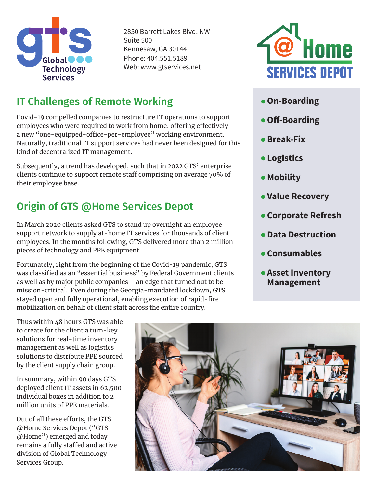

2850 Barrett Lakes Blvd. NW Suite 500 Kennesaw, GA 30144 Phone: 404.551.5189 Web: www.gtservices.net

## IT Challenges of Remote Working

Covid-19 compelled companies to restructure IT operations to support employees who were required to work from home, offering effectively a new "one-equipped-office-per-employee" working environment. Naturally, traditional IT support services had never been designed for this kind of decentralized IT management.

Subsequently, a trend has developed, such that in 2022 GTS' enterprise clients continue to support remote staff comprising on average 70% of their employee base.

## Origin of GTS @Home Services Depot

In March 2020 clients asked GTS to stand up overnight an employee support network to supply at-home IT services for thousands of client employees. In the months following, GTS delivered more than 2 million pieces of technology and PPE equipment.

Fortunately, right from the beginning of the Covid-19 pandemic, GTS was classified as an "essential business" by Federal Government clients as well as by major public companies – an edge that turned out to be mission-critical. Even during the Georgia-mandated lockdown, GTS stayed open and fully operational, enabling execution of rapid-fire mobilization on behalf of client staff across the entire country.



- **On-Boarding**
- **Off-Boarding**
- **Break-Fix**
- **Logistics**
- **Mobility**
- **Value Recovery**
- **Corporate Refresh**
- **Data Destruction**
- **Consumables**
- **Asset Inventory Management**

Thus within 48 hours GTS was able to create for the client a turn-key solutions for real-time inventory management as well as logistics solutions to distribute PPE sourced by the client supply chain group.

In summary, within 90 days GTS deployed client IT assets in 62,500 individual boxes in addition to 2 million units of PPE materials.

Out of all these efforts, the GTS @Home Services Depot ("GTS @Home") emerged and today remains a fully staffed and active division of Global Technology Services Group.